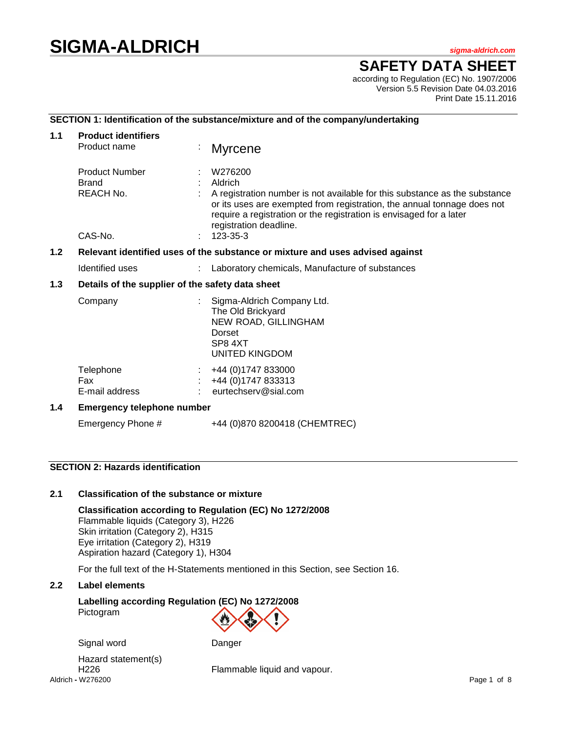# **SIGMA-ALDRICH** *sigma-aldrich.com*

# **SAFETY DATA SHEET**

according to Regulation (EC) No. 1907/2006 Version 5.5 Revision Date 04.03.2016 Print Date 15.11.2016

# **SECTION 1: Identification of the substance/mixture and of the company/undertaking**

| 1.1 | <b>Product identifiers</b>                                                    |  |                                                                                                                                                                                                                                                    |  |  |
|-----|-------------------------------------------------------------------------------|--|----------------------------------------------------------------------------------------------------------------------------------------------------------------------------------------------------------------------------------------------------|--|--|
|     | Product name                                                                  |  | <b>Myrcene</b>                                                                                                                                                                                                                                     |  |  |
|     | <b>Product Number</b><br><b>Brand</b><br>REACH No.                            |  | W276200<br>Aldrich<br>A registration number is not available for this substance as the substance<br>or its uses are exempted from registration, the annual tonnage does not<br>require a registration or the registration is envisaged for a later |  |  |
|     | CAS-No.                                                                       |  | registration deadline.<br>123-35-3                                                                                                                                                                                                                 |  |  |
| 1.2 | Relevant identified uses of the substance or mixture and uses advised against |  |                                                                                                                                                                                                                                                    |  |  |
|     | Identified uses                                                               |  | Laboratory chemicals, Manufacture of substances                                                                                                                                                                                                    |  |  |
| 1.3 | Details of the supplier of the safety data sheet                              |  |                                                                                                                                                                                                                                                    |  |  |
|     | Company                                                                       |  | Sigma-Aldrich Company Ltd.<br>The Old Brickyard<br>NEW ROAD, GILLINGHAM<br>Dorset<br>SP8 4XT<br>UNITED KINGDOM                                                                                                                                     |  |  |
|     | Telephone<br>Fax<br>E-mail address                                            |  | +44 (0) 1747 833000<br>+44 (0) 1747 833313<br>eurtechserv@sial.com                                                                                                                                                                                 |  |  |
| 1.4 | <b>Emergency telephone number</b>                                             |  |                                                                                                                                                                                                                                                    |  |  |
|     | Emergency Phone #                                                             |  | +44 (0)870 8200418 (CHEMTREC)                                                                                                                                                                                                                      |  |  |

# **SECTION 2: Hazards identification**

# **2.1 Classification of the substance or mixture**

**Classification according to Regulation (EC) No 1272/2008** Flammable liquids (Category 3), H226 Skin irritation (Category 2), H315 Eye irritation (Category 2), H319 Aspiration hazard (Category 1), H304

For the full text of the H-Statements mentioned in this Section, see Section 16.

# **2.2 Label elements**

**Labelling according Regulation (EC) No 1272/2008** Pictogram



Aldrich **-** W276200 Page 1 of 8 Hazard statement(s)

H226 Flammable liquid and vapour.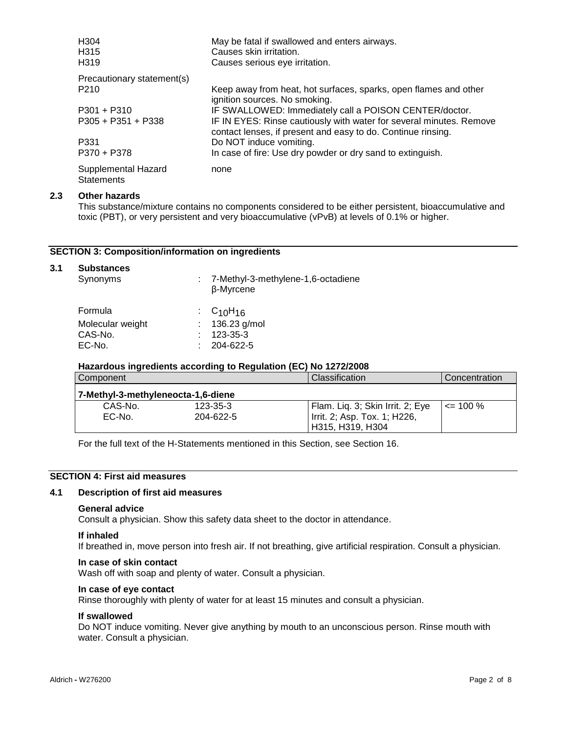| H <sub>304</sub><br>H <sub>315</sub><br>H <sub>3</sub> 19 | May be fatal if swallowed and enters airways.<br>Causes skin irritation.<br>Causes serious eye irritation.                          |
|-----------------------------------------------------------|-------------------------------------------------------------------------------------------------------------------------------------|
| Precautionary statement(s)                                |                                                                                                                                     |
| P <sub>210</sub>                                          | Keep away from heat, hot surfaces, sparks, open flames and other<br>ignition sources. No smoking.                                   |
| $P301 + P310$                                             | IF SWALLOWED: Immediately call a POISON CENTER/doctor.                                                                              |
| $P305 + P351 + P338$                                      | IF IN EYES: Rinse cautiously with water for several minutes. Remove<br>contact lenses, if present and easy to do. Continue rinsing. |
| P331                                                      | Do NOT induce vomiting.                                                                                                             |
| P370 + P378                                               | In case of fire: Use dry powder or dry sand to extinguish.                                                                          |
| Supplemental Hazard<br><b>Statements</b>                  | none                                                                                                                                |

#### **2.3 Other hazards**

This substance/mixture contains no components considered to be either persistent, bioaccumulative and toxic (PBT), or very persistent and very bioaccumulative (vPvB) at levels of 0.1% or higher.

#### **SECTION 3: Composition/information on ingredients**

# **3.1 Substances** Synonyms : 7-Methyl-3-methylene-1,6-octadiene β-Myrcene Formula  $\begin{array}{r} \text{Formula} \\ \text{Molecular weight} \end{array}$  : C<sub>10</sub>H<sub>16</sub><br> $\begin{array}{r} 136.23 \text{ g/mol} \end{array}$ Molecular weight<br>CAS-No. CAS-No. : 123-35-3  $: 204 - 622 - 5$

# **Hazardous ingredients according to Regulation (EC) No 1272/2008**

| Component                          |                | Classification                   | Concentration |  |
|------------------------------------|----------------|----------------------------------|---------------|--|
| 7-Methyl-3-methyleneocta-1,6-diene |                |                                  |               |  |
| CAS-No.                            | $123 - 35 - 3$ | Flam. Liq. 3; Skin Irrit. 2; Eye | $\leq$ 100 %  |  |
| EC-No.                             | 204-622-5      | Irrit. 2; Asp. Tox. 1; H226,     |               |  |
|                                    |                | H315, H319, H304                 |               |  |

For the full text of the H-Statements mentioned in this Section, see Section 16.

# **SECTION 4: First aid measures**

# **4.1 Description of first aid measures**

#### **General advice**

Consult a physician. Show this safety data sheet to the doctor in attendance.

#### **If inhaled**

If breathed in, move person into fresh air. If not breathing, give artificial respiration. Consult a physician.

#### **In case of skin contact**

Wash off with soap and plenty of water. Consult a physician.

#### **In case of eye contact**

Rinse thoroughly with plenty of water for at least 15 minutes and consult a physician.

#### **If swallowed**

Do NOT induce vomiting. Never give anything by mouth to an unconscious person. Rinse mouth with water. Consult a physician.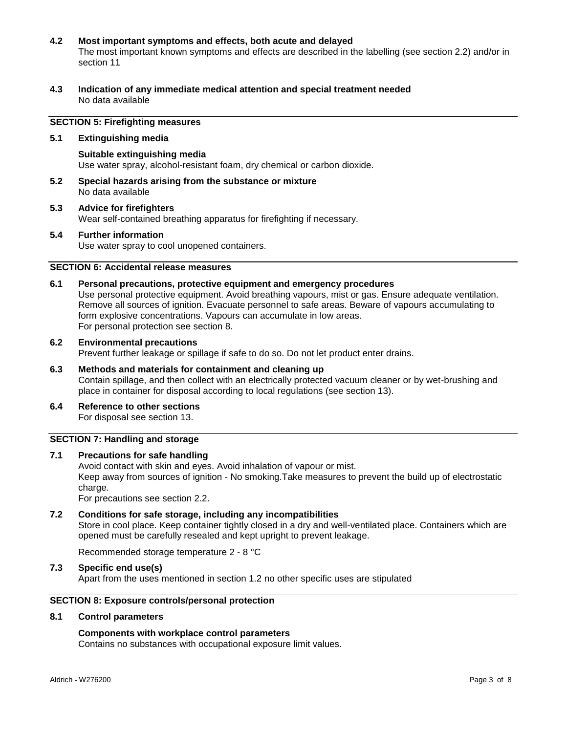#### **4.2 Most important symptoms and effects, both acute and delayed** The most important known symptoms and effects are described in the labelling (see section 2.2) and/or in

- section 11
- **4.3 Indication of any immediate medical attention and special treatment needed** No data available

# **SECTION 5: Firefighting measures**

#### **5.1 Extinguishing media**

- **Suitable extinguishing media** Use water spray, alcohol-resistant foam, dry chemical or carbon dioxide.
- **5.2 Special hazards arising from the substance or mixture** No data available
- **5.3 Advice for firefighters** Wear self-contained breathing apparatus for firefighting if necessary.

# **5.4 Further information**

Use water spray to cool unopened containers.

# **SECTION 6: Accidental release measures**

**6.1 Personal precautions, protective equipment and emergency procedures**

Use personal protective equipment. Avoid breathing vapours, mist or gas. Ensure adequate ventilation. Remove all sources of ignition. Evacuate personnel to safe areas. Beware of vapours accumulating to form explosive concentrations. Vapours can accumulate in low areas. For personal protection see section 8.

# **6.2 Environmental precautions** Prevent further leakage or spillage if safe to do so. Do not let product enter drains.

- **6.3 Methods and materials for containment and cleaning up** Contain spillage, and then collect with an electrically protected vacuum cleaner or by wet-brushing and place in container for disposal according to local regulations (see section 13).
- **6.4 Reference to other sections** For disposal see section 13.

#### **SECTION 7: Handling and storage**

**7.1 Precautions for safe handling** Avoid contact with skin and eyes. Avoid inhalation of vapour or mist. Keep away from sources of ignition - No smoking.Take measures to prevent the build up of electrostatic charge.

For precautions see section 2.2.

**7.2 Conditions for safe storage, including any incompatibilities** Store in cool place. Keep container tightly closed in a dry and well-ventilated place. Containers which are opened must be carefully resealed and kept upright to prevent leakage.

Recommended storage temperature 2 - 8 °C

**7.3 Specific end use(s)**

Apart from the uses mentioned in section 1.2 no other specific uses are stipulated

# **SECTION 8: Exposure controls/personal protection**

#### **8.1 Control parameters**

#### **Components with workplace control parameters**

Contains no substances with occupational exposure limit values.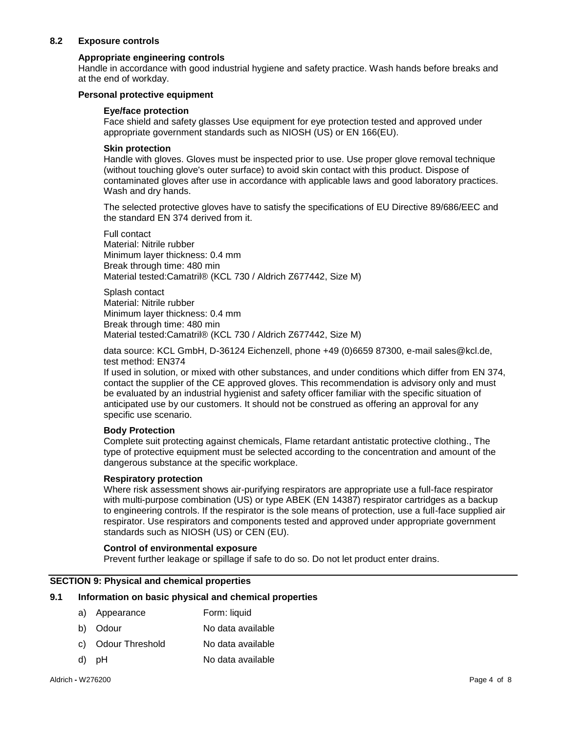# **8.2 Exposure controls**

#### **Appropriate engineering controls**

Handle in accordance with good industrial hygiene and safety practice. Wash hands before breaks and at the end of workday.

#### **Personal protective equipment**

#### **Eye/face protection**

Face shield and safety glasses Use equipment for eye protection tested and approved under appropriate government standards such as NIOSH (US) or EN 166(EU).

#### **Skin protection**

Handle with gloves. Gloves must be inspected prior to use. Use proper glove removal technique (without touching glove's outer surface) to avoid skin contact with this product. Dispose of contaminated gloves after use in accordance with applicable laws and good laboratory practices. Wash and dry hands.

The selected protective gloves have to satisfy the specifications of EU Directive 89/686/EEC and the standard EN 374 derived from it.

Full contact Material: Nitrile rubber Minimum layer thickness: 0.4 mm Break through time: 480 min Material tested:Camatril® (KCL 730 / Aldrich Z677442, Size M)

Splash contact Material: Nitrile rubber Minimum layer thickness: 0.4 mm Break through time: 480 min Material tested:Camatril® (KCL 730 / Aldrich Z677442, Size M)

data source: KCL GmbH, D-36124 Eichenzell, phone +49 (0)6659 87300, e-mail sales@kcl.de, test method: EN374

If used in solution, or mixed with other substances, and under conditions which differ from EN 374, contact the supplier of the CE approved gloves. This recommendation is advisory only and must be evaluated by an industrial hygienist and safety officer familiar with the specific situation of anticipated use by our customers. It should not be construed as offering an approval for any specific use scenario.

#### **Body Protection**

Complete suit protecting against chemicals, Flame retardant antistatic protective clothing., The type of protective equipment must be selected according to the concentration and amount of the dangerous substance at the specific workplace.

#### **Respiratory protection**

Where risk assessment shows air-purifying respirators are appropriate use a full-face respirator with multi-purpose combination (US) or type ABEK (EN 14387) respirator cartridges as a backup to engineering controls. If the respirator is the sole means of protection, use a full-face supplied air respirator. Use respirators and components tested and approved under appropriate government standards such as NIOSH (US) or CEN (EU).

#### **Control of environmental exposure**

Prevent further leakage or spillage if safe to do so. Do not let product enter drains.

#### **SECTION 9: Physical and chemical properties**

#### **9.1 Information on basic physical and chemical properties**

- a) Appearance Form: liquid
- b) Odour No data available
- c) Odour Threshold No data available
- d) pH No data available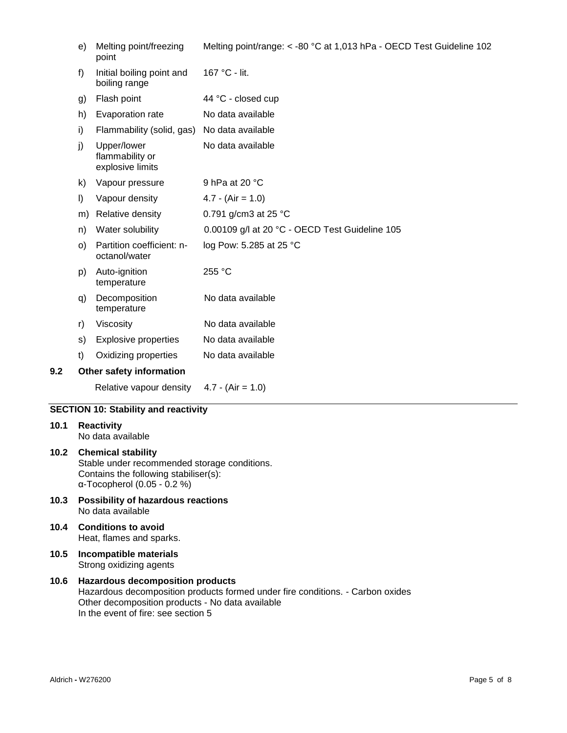|     | e)      | Melting point/freezing<br>point                    | Melting point/range: < -80 °C at 1,013 hPa - OECD Test Guideline 102 |
|-----|---------|----------------------------------------------------|----------------------------------------------------------------------|
|     | f)      | Initial boiling point and<br>boiling range         | 167 °C - lit.                                                        |
|     | g)      | Flash point                                        | 44 °C - closed cup                                                   |
|     | h)      | Evaporation rate                                   | No data available                                                    |
|     | i)      | Flammability (solid, gas)                          | No data available                                                    |
|     | j)      | Upper/lower<br>flammability or<br>explosive limits | No data available                                                    |
|     | k)      | Vapour pressure                                    | 9 hPa at 20 °C                                                       |
|     | I)      | Vapour density                                     | $4.7 - (Air = 1.0)$                                                  |
|     | m)      | Relative density                                   | 0.791 g/cm3 at 25 °C                                                 |
|     | n)      | Water solubility                                   | 0.00109 g/l at 20 °C - OECD Test Guideline 105                       |
|     | $\circ$ | Partition coefficient: n-<br>octanol/water         | log Pow: 5.285 at 25 °C                                              |
|     | p)      | Auto-ignition<br>temperature                       | 255 °C                                                               |
|     | q)      | Decomposition<br>temperature                       | No data available                                                    |
|     | r)      | Viscosity                                          | No data available                                                    |
|     | S)      | <b>Explosive properties</b>                        | No data available                                                    |
|     | t)      | Oxidizing properties                               | No data available                                                    |
| 9.2 |         | Other safety information                           |                                                                      |
|     |         | Relative vapour density                            | $4.7 - (Air = 1.0)$                                                  |
|     |         |                                                    |                                                                      |

# **SECTION 10: Stability and reactivity**

# **10.1 Reactivity**

No data available

#### **10.2 Chemical stability** Stable under recommended storage conditions. Contains the following stabiliser(s): α-Tocopherol (0.05 - 0.2 %)

- **10.3 Possibility of hazardous reactions** No data available
- **10.4 Conditions to avoid** Heat, flames and sparks.
- **10.5 Incompatible materials** Strong oxidizing agents

# **10.6 Hazardous decomposition products** Hazardous decomposition products formed under fire conditions. - Carbon oxides Other decomposition products - No data available In the event of fire: see section 5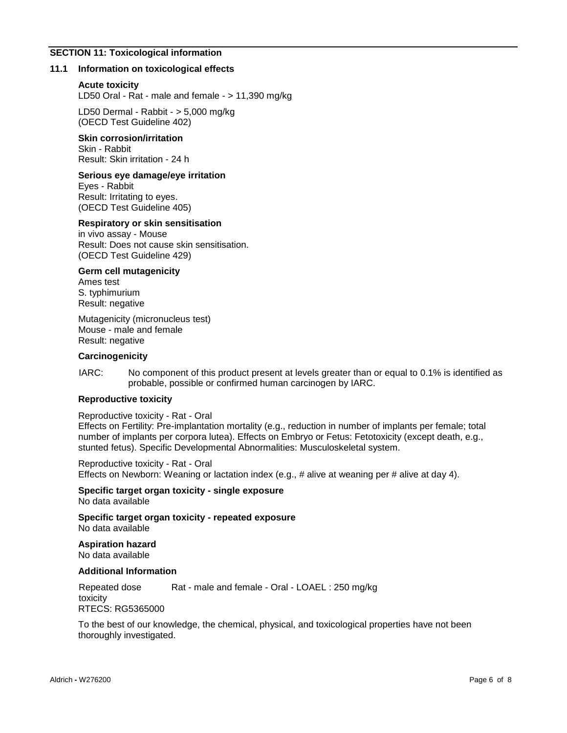#### **SECTION 11: Toxicological information**

#### **11.1 Information on toxicological effects**

#### **Acute toxicity**

LD50 Oral - Rat - male and female - > 11,390 mg/kg

LD50 Dermal - Rabbit - > 5,000 mg/kg (OECD Test Guideline 402)

#### **Skin corrosion/irritation**

Skin - Rabbit Result: Skin irritation - 24 h

#### **Serious eye damage/eye irritation**

Eyes - Rabbit Result: Irritating to eyes. (OECD Test Guideline 405)

# **Respiratory or skin sensitisation**

in vivo assay - Mouse Result: Does not cause skin sensitisation. (OECD Test Guideline 429)

#### **Germ cell mutagenicity**

Ames test S. typhimurium Result: negative

Mutagenicity (micronucleus test) Mouse - male and female Result: negative

#### **Carcinogenicity**

IARC: No component of this product present at levels greater than or equal to 0.1% is identified as probable, possible or confirmed human carcinogen by IARC.

#### **Reproductive toxicity**

Reproductive toxicity - Rat - Oral

Effects on Fertility: Pre-implantation mortality (e.g., reduction in number of implants per female; total number of implants per corpora lutea). Effects on Embryo or Fetus: Fetotoxicity (except death, e.g., stunted fetus). Specific Developmental Abnormalities: Musculoskeletal system.

Reproductive toxicity - Rat - Oral Effects on Newborn: Weaning or lactation index (e.g., # alive at weaning per # alive at day 4).

**Specific target organ toxicity - single exposure** No data available

**Specific target organ toxicity - repeated exposure** No data available

**Aspiration hazard** No data available

#### **Additional Information**

Repeated dose toxicity Rat - male and female - Oral - LOAEL : 250 mg/kg RTECS: RG5365000

To the best of our knowledge, the chemical, physical, and toxicological properties have not been thoroughly investigated.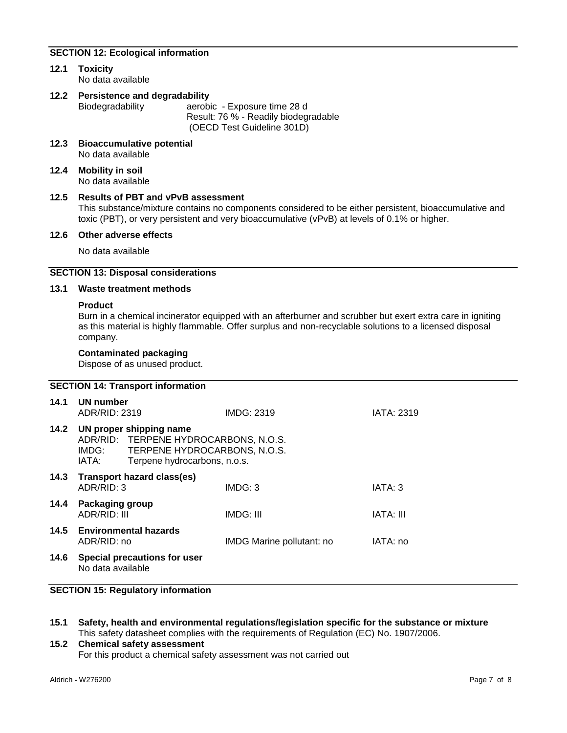# **SECTION 12: Ecological information**

**12.1 Toxicity** No data available

# **12.2 Persistence and degradability** aerobic - Exposure time 28 d

Result: 76 % - Readily biodegradable (OECD Test Guideline 301D)

- **12.3 Bioaccumulative potential** No data available
- **12.4 Mobility in soil** No data available

#### **12.5 Results of PBT and vPvB assessment**

This substance/mixture contains no components considered to be either persistent, bioaccumulative and toxic (PBT), or very persistent and very bioaccumulative (vPvB) at levels of 0.1% or higher.

#### **12.6 Other adverse effects**

No data available

# **SECTION 13: Disposal considerations**

#### **13.1 Waste treatment methods**

#### **Product**

Burn in a chemical incinerator equipped with an afterburner and scrubber but exert extra care in igniting as this material is highly flammable. Offer surplus and non-recyclable solutions to a licensed disposal company.

#### **Contaminated packaging**

Dispose of as unused product.

# **SECTION 14: Transport information**

| 14.1 | UN number<br>ADR/RID: 2319                                                                                                                      |                            | IMDG: 2319                | IATA: 2319       |
|------|-------------------------------------------------------------------------------------------------------------------------------------------------|----------------------------|---------------------------|------------------|
| 14.2 | UN proper shipping name<br>ADR/RID: TERPENE HYDROCARBONS, N.O.S.<br>IMDG: TERPENE HYDROCARBONS, N.O.S.<br>Terpene hydrocarbons, n.o.s.<br>IATA: |                            |                           |                  |
| 14.3 | ADR/RID: 3                                                                                                                                      | Transport hazard class(es) | IMDG: 3                   | IATA: 3          |
| 14.4 | Packaging group<br>ADR/RID: III                                                                                                                 |                            | IMDG: III                 | <b>IATA: III</b> |
| 14.5 | <b>Environmental hazards</b><br>ADR/RID: no                                                                                                     |                            | IMDG Marine pollutant: no | IATA: no         |
| 14.6 | Special precautions for user<br>No data available                                                                                               |                            |                           |                  |

# **SECTION 15: Regulatory information**

**15.1 Safety, health and environmental regulations/legislation specific for the substance or mixture** This safety datasheet complies with the requirements of Regulation (EC) No. 1907/2006.

# **15.2 Chemical safety assessment** For this product a chemical safety assessment was not carried out